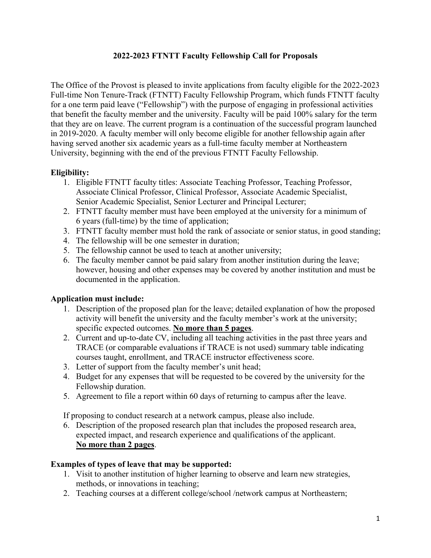# **2022-2023 FTNTT Faculty Fellowship Call for Proposals**

The Office of the Provost is pleased to invite applications from faculty eligible for the 2022-2023 Full-time Non Tenure-Track (FTNTT) Faculty Fellowship Program, which funds FTNTT faculty for a one term paid leave ("Fellowship") with the purpose of engaging in professional activities that benefit the faculty member and the university. Faculty will be paid 100% salary for the term that they are on leave. The current program is a continuation of the successful program launched in 2019-2020. A faculty member will only become eligible for another fellowship again after having served another six academic years as a full-time faculty member at Northeastern University, beginning with the end of the previous FTNTT Faculty Fellowship.

# **Eligibility:**

- 1. Eligible FTNTT faculty titles: Associate Teaching Professor, Teaching Professor, Associate Clinical Professor, Clinical Professor, Associate Academic Specialist, Senior Academic Specialist, Senior Lecturer and Principal Lecturer;
- 2. FTNTT faculty member must have been employed at the university for a minimum of 6 years (full-time) by the time of application;
- 3. FTNTT faculty member must hold the rank of associate or senior status, in good standing;
- 4. The fellowship will be one semester in duration;
- 5. The fellowship cannot be used to teach at another university;
- 6. The faculty member cannot be paid salary from another institution during the leave; however, housing and other expenses may be covered by another institution and must be documented in the application.

## **Application must include:**

- 1. Description of the proposed plan for the leave; detailed explanation of how the proposed activity will benefit the university and the faculty member's work at the university; specific expected outcomes. **No more than 5 pages**.
- 2. Current and up-to-date CV, including all teaching activities in the past three years and TRACE (or comparable evaluations if TRACE is not used) summary table indicating courses taught, enrollment, and TRACE instructor effectiveness score.
- 3. Letter of support from the faculty member's unit head;
- 4. Budget for any expenses that will be requested to be covered by the university for the Fellowship duration.
- 5. Agreement to file a report within 60 days of returning to campus after the leave.

If proposing to conduct research at a network campus, please also include.

6. Description of the proposed research plan that includes the proposed research area, expected impact, and research experience and qualifications of the applicant. **No more than 2 pages**.

## **Examples of types of leave that may be supported:**

- 1. Visit to another institution of higher learning to observe and learn new strategies, methods, or innovations in teaching;
- 2. Teaching courses at a different college/school /network campus at Northeastern;